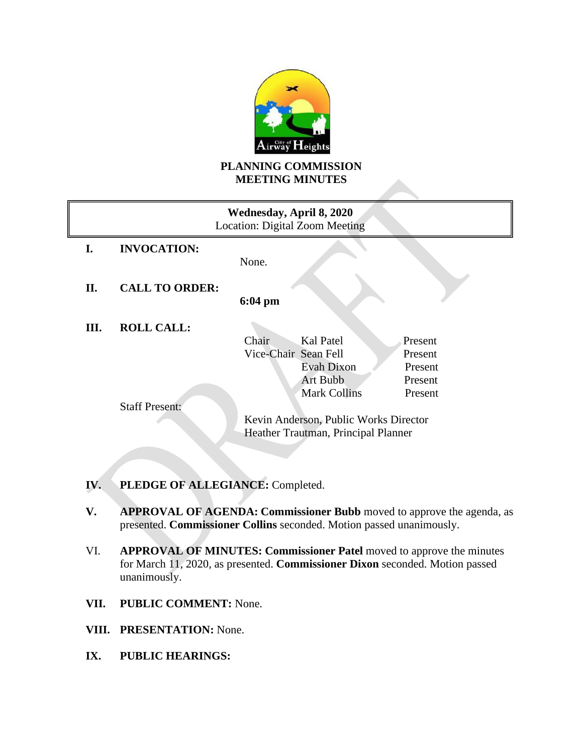

# **PLANNING COMMISSION MEETING MINUTES**

|    |                       | Wednesday, April 8, 2020<br>Location: Digital Zoom Meeting |
|----|-----------------------|------------------------------------------------------------|
| I. | <b>INVOCATION:</b>    |                                                            |
|    |                       | None.                                                      |
| П. | <b>CALL TO ORDER:</b> |                                                            |
|    |                       | $6:04 \text{ pm}$                                          |
| Ш. | <b>ROLL CALL:</b>     |                                                            |
|    |                       | Kal Patel<br>Chair<br>Present                              |
|    |                       | Vice-Chair Sean Fell<br>Present                            |
|    |                       | Evah Dixon<br>Present                                      |
|    |                       | <b>Art Bubb</b><br>Present                                 |
|    |                       | <b>Mark Collins</b><br>Present                             |
|    | <b>Staff Present:</b> |                                                            |
|    |                       | Kevin Anderson, Public Works Director                      |
|    |                       | Heather Trautman, Principal Planner                        |
|    |                       |                                                            |

- **IV. PLEDGE OF ALLEGIANCE:** Completed.
- **V. APPROVAL OF AGENDA: Commissioner Bubb** moved to approve the agenda, as presented. **Commissioner Collins** seconded. Motion passed unanimously.
- VI. **APPROVAL OF MINUTES: Commissioner Patel** moved to approve the minutes for March 11, 2020, as presented. **Commissioner Dixon** seconded. Motion passed unanimously.
- **VII. PUBLIC COMMENT:** None.
- **VIII. PRESENTATION:** None.
- **IX. PUBLIC HEARINGS:**